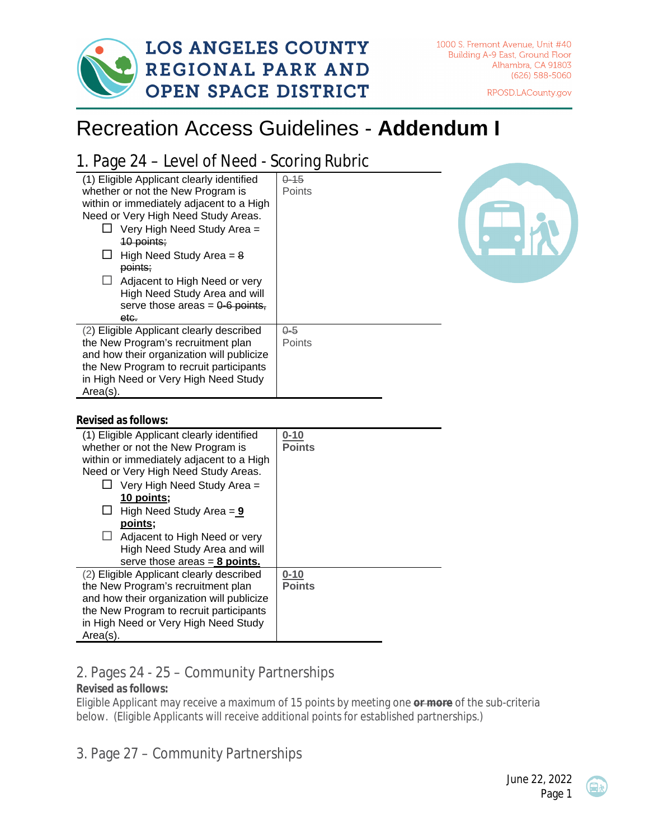

RPOSD.LACounty.gov

## Recreation Access Guidelines - **Addendum I**

## 1. Page 24 – Level of Need - Scoring Rubric

| (1) Eligible Applicant clearly identified<br>whether or not the New Program is<br>within or immediately adjacent to a High | $0 - 15$<br>Points |  |
|----------------------------------------------------------------------------------------------------------------------------|--------------------|--|
| Need or Very High Need Study Areas.<br>Very High Need Study Area =                                                         |                    |  |
| 10 points;                                                                                                                 |                    |  |
| High Need Study Area $= 8$<br>points:                                                                                      |                    |  |
| Adjacent to High Need or very                                                                                              |                    |  |
| High Need Study Area and will                                                                                              |                    |  |
| serve those areas = $0-6$ points,<br>etc.                                                                                  |                    |  |
| (2) Eligible Applicant clearly described                                                                                   | $0 - 5$            |  |
| the New Program's recruitment plan                                                                                         | <b>Points</b>      |  |
| and how their organization will publicize                                                                                  |                    |  |
| the New Program to recruit participants                                                                                    |                    |  |
| in High Need or Very High Need Study                                                                                       |                    |  |
| $Area(s)$ .                                                                                                                |                    |  |

## **Revised as follows:**

| (1) Eligible Applicant clearly identified<br>whether or not the New Program is<br>within or immediately adjacent to a High<br>Need or Very High Need Study Areas.<br>Very High Need Study Area =<br>10 points;<br>High Need Study Area $= 9$<br>ப<br>points;<br>Adjacent to High Need or very<br>High Need Study Area and will<br>serve those areas $= 8$ points. | $0 - 10$<br><b>Points</b> |
|-------------------------------------------------------------------------------------------------------------------------------------------------------------------------------------------------------------------------------------------------------------------------------------------------------------------------------------------------------------------|---------------------------|
| (2) Eligible Applicant clearly described<br>the New Program's recruitment plan<br>and how their organization will publicize<br>the New Program to recruit participants<br>in High Need or Very High Need Study<br>$Area(s)$ .                                                                                                                                     | $0 - 10$<br><b>Points</b> |

## 2. Pages 24 - 25 – Community Partnerships

**Revised as follows:** 

Eligible Applicant may receive a maximum of 15 points by meeting one **or more** of the sub-criteria below. (Eligible Applicants will receive additional points for established partnerships.)

3. Page 27 – Community Partnerships